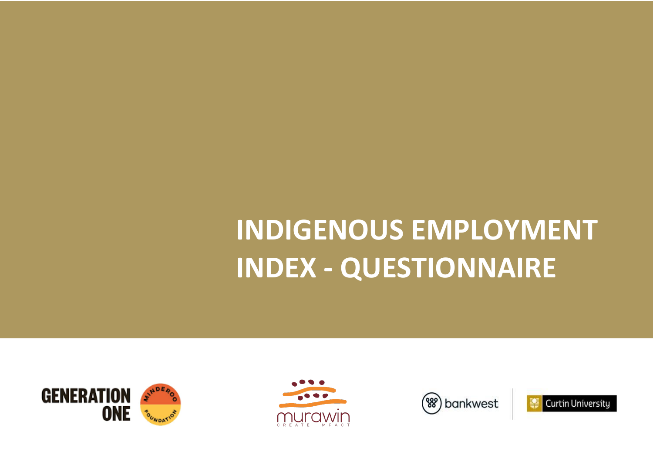







# **INDIGENOUS EMPLOYMENT INDEX - QUESTIONNAIRE**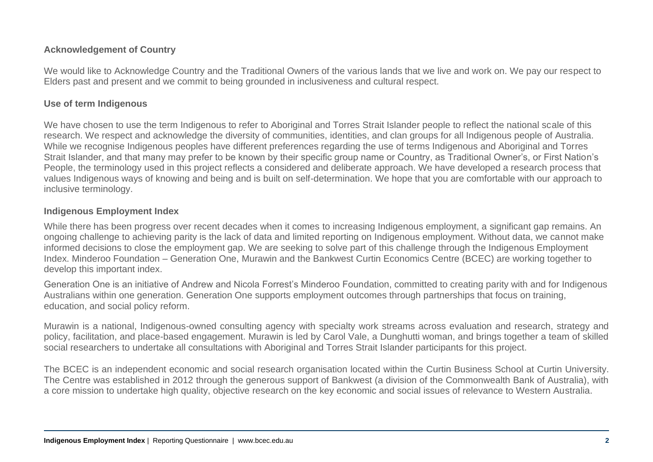### **Acknowledgement of Country**

We would like to Acknowledge Country and the Traditional Owners of the various lands that we live and work on. We pay our respect to Elders past and present and we commit to being grounded in inclusiveness and cultural respect.

#### **Use of term Indigenous**

We have chosen to use the term Indigenous to refer to Aboriginal and Torres Strait Islander people to reflect the national scale of this research. We respect and acknowledge the diversity of communities, identities, and clan groups for all Indigenous people of Australia. While we recognise Indigenous peoples have different preferences regarding the use of terms Indigenous and Aboriginal and Torres Strait Islander, and that many may prefer to be known by their specific group name or Country, as Traditional Owner's, or First Nation's People, the terminology used in this project reflects a considered and deliberate approach. We have developed a research process that values Indigenous ways of knowing and being and is built on self-determination. We hope that you are comfortable with our approach to inclusive terminology.

#### **Indigenous Employment Index**

While there has been progress over recent decades when it comes to increasing Indigenous employment, a significant gap remains. An ongoing challenge to achieving parity is the lack of data and limited reporting on Indigenous employment. Without data, we cannot make informed decisions to close the employment gap. We are seeking to solve part of this challenge through the Indigenous Employment Index. Minderoo Foundation – Generation One, Murawin and the Bankwest Curtin Economics Centre (BCEC) are working together to develop this important index.

Generation One is an initiative of Andrew and Nicola Forrest's Minderoo Foundation, committed to creating parity with and for Indigenous Australians within one generation. Generation One supports employment outcomes through partnerships that focus on training, education, and social policy reform.

Murawin is a national, Indigenous-owned consulting agency with specialty work streams across evaluation and research, strategy and policy, facilitation, and place-based engagement. Murawin is led by Carol Vale, a Dunghutti woman, and brings together a team of skilled social researchers to undertake all consultations with Aboriginal and Torres Strait Islander participants for this project.

The BCEC is an independent economic and social research organisation located within the Curtin Business School at Curtin University. The Centre was established in 2012 through the generous support of Bankwest (a division of the Commonwealth Bank of Australia), with a core mission to undertake high quality, objective research on the key economic and social issues of relevance to Western Australia.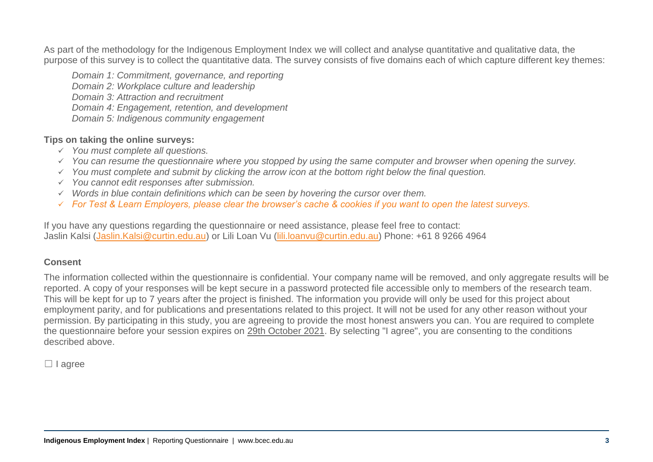As part of the methodology for the Indigenous Employment Index we will collect and analyse quantitative and qualitative data, the purpose of this survey is to collect the quantitative data. The survey consists of five domains each of which capture different key themes:

*Domain 1: Commitment, governance, and reporting Domain 2: Workplace culture and leadership Domain 3: Attraction and recruitment Domain 4: Engagement, retention, and development Domain 5: Indigenous community engagement*

#### **Tips on taking the online surveys:**

- ✓ *You must complete all questions.*
- ✓ *You can resume the questionnaire where you stopped by using the same computer and browser when opening the survey.*
- ✓ *You must complete and submit by clicking the arrow icon at the bottom right below the final question.*
- ✓ *You cannot edit responses after submission.*
- ✓ *Words in blue contain definitions which can be seen by hovering the cursor over them.*
- ✓ *For Test & Learn Employers, please clear the browser's cache & cookies if you want to open the latest surveys.*

If you have any questions regarding the questionnaire or need assistance, please feel free to contact: Jaslin Kalsi [\(Jaslin.Kalsi@curtin.edu.au\)](mailto:Jaslin.Kalsi@curtin.edu.au) or Lili Loan Vu [\(lili.loanvu@curtin.edu.au\)](mailto:lili.loanvu@curtin.edu.au) Phone: +61 8 9266 4964

#### **Consent**

The information collected within the questionnaire is confidential. Your company name will be removed, and only aggregate results will be reported. A copy of your responses will be kept secure in a password protected file accessible only to members of the research team. This will be kept for up to 7 years after the project is finished. The information you provide will only be used for this project about employment parity, and for publications and presentations related to this project. It will not be used for any other reason without your permission. By participating in this study, you are agreeing to provide the most honest answers you can. You are required to complete the questionnaire before your session expires on 29th October 2021. By selecting "I agree", you are consenting to the conditions described above.

□ I agree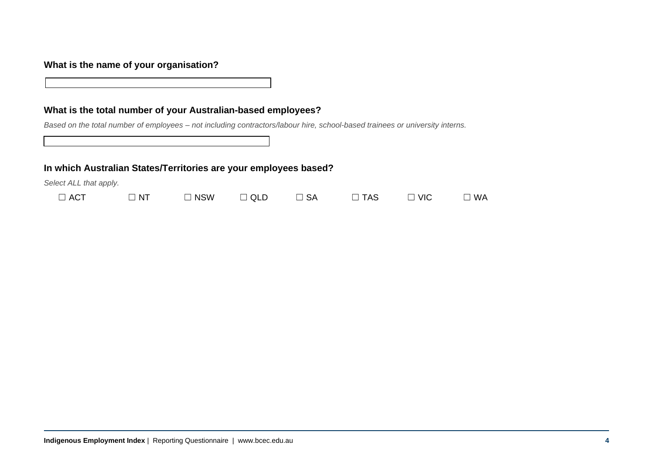#### **What is the name of your organisation?**

#### **What is the total number of your Australian-based employees?**

*Based on the total number of employees – not including contractors/labour hire, school-based trainees or university interns.*

#### **In which Australian States/Territories are your employees based?**

| <b>ACT</b> | N | <b>NSW</b> | ™ QLL | <b>SA</b> | ΆS | <b>VIC</b> | WA |
|------------|---|------------|-------|-----------|----|------------|----|
|            |   |            |       |           |    |            |    |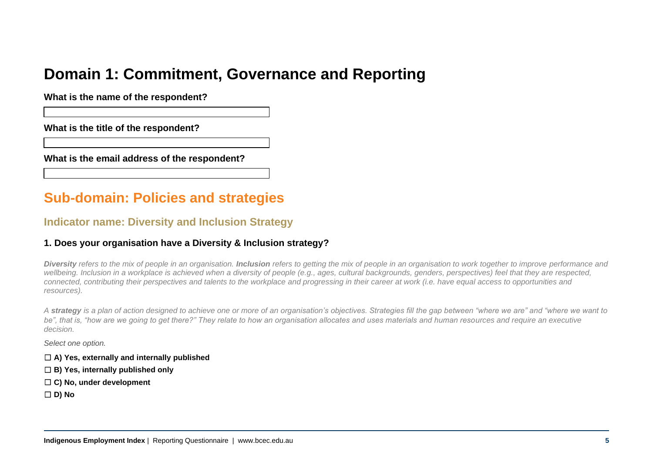# **Domain 1: Commitment, Governance and Reporting**

**What is the name of the respondent?** 

**What is the title of the respondent?** 

**What is the email address of the respondent?** 

# **Sub-domain: Policies and strategies**

### **Indicator name: Diversity and Inclusion Strategy**

#### **1. Does your organisation have a Diversity & Inclusion strategy?**

*Diversity refers to the mix of people in an organisation. Inclusion refers to getting the mix of people in an organisation to work together to improve performance and wellbeing. Inclusion in a workplace is achieved when a diversity of people (e.g., ages, cultural backgrounds, genders, perspectives) feel that they are respected, connected, contributing their perspectives and talents to the workplace and progressing in their career at work (i.e. have equal access to opportunities and resources).*

*A strategy is a plan of action designed to achieve one or more of an organisation's objectives. Strategies fill the gap between "where we are" and "where we want to* be", that is, "how are we going to get there?" They relate to how an organisation allocates and uses materials and human resources and require an executive *decision.* 

*Select one option.*

- ☐ **A) Yes, externally and internally published**
- ☐ **B) Yes, internally published only**
- ☐ **C) No, under development**
- ☐ **D) No**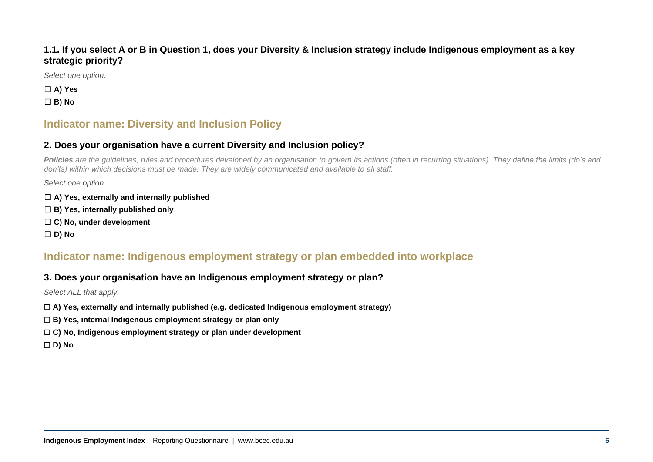#### **1.1. If you select A or B in Question 1, does your Diversity & Inclusion strategy include Indigenous employment as a key strategic priority?**

*Select one option.*

☐ **A) Yes** ☐ **B) No**

# **Indicator name: Diversity and Inclusion Policy**

#### **2. Does your organisation have a current Diversity and Inclusion policy?**

Policies are the guidelines, rules and procedures developed by an organisation to govern its actions (often in recurring situations). They define the limits (do's and *don'ts) within which decisions must be made. They are widely communicated and available to all staff.* 

*Select one option.*

- ☐ **A) Yes, externally and internally published**
- ☐ **B) Yes, internally published only**
- ☐ **C) No, under development**

☐ **D) No**

# **Indicator name: Indigenous employment strategy or plan embedded into workplace**

#### **3. Does your organisation have an Indigenous employment strategy or plan?**

*Select ALL that apply.*

- ☐ **A) Yes, externally and internally published (e.g. dedicated Indigenous employment strategy)**
- ☐ **B) Yes, internal Indigenous employment strategy or plan only**
- ☐ **C) No, Indigenous employment strategy or plan under development**

☐ **D) No**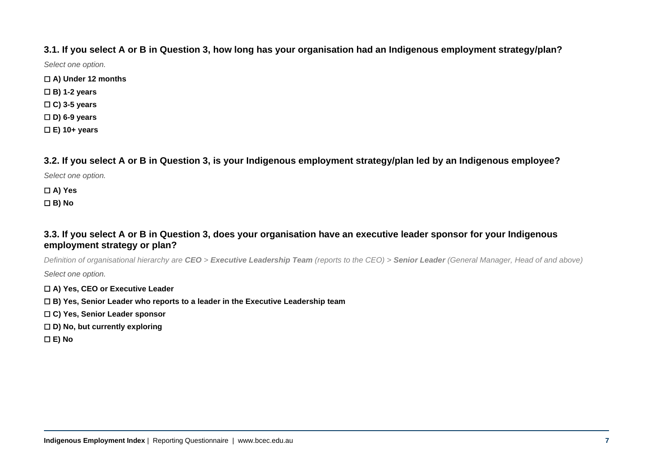#### **3.1. If you select A or B in Question 3, how long has your organisation had an Indigenous employment strategy/plan?**

*Select one option.*

- ☐ **A) Under 12 months**
- ☐ **B) 1-2 years**
- ☐ **C) 3-5 years**
- ☐ **D) 6-9 years**
- ☐ **E) 10+ years**

**3.2. If you select A or B in Question 3, is your Indigenous employment strategy/plan led by an Indigenous employee?**

*Select one option.*

#### ☐ **A) Yes** ☐ **B) No**

#### **3.3. If you select A or B in Question 3, does your organisation have an executive leader sponsor for your Indigenous employment strategy or plan?**

*Definition of organisational hierarchy are CEO > Executive Leadership Team (reports to the CEO) > Senior Leader (General Manager, Head of and above) Select one option.*

- ☐ **A) Yes, CEO or Executive Leader**
- ☐ **B) Yes, Senior Leader who reports to a leader in the Executive Leadership team**
- ☐ **C) Yes, Senior Leader sponsor**
- ☐ **D) No, but currently exploring**
- ☐ **E) No**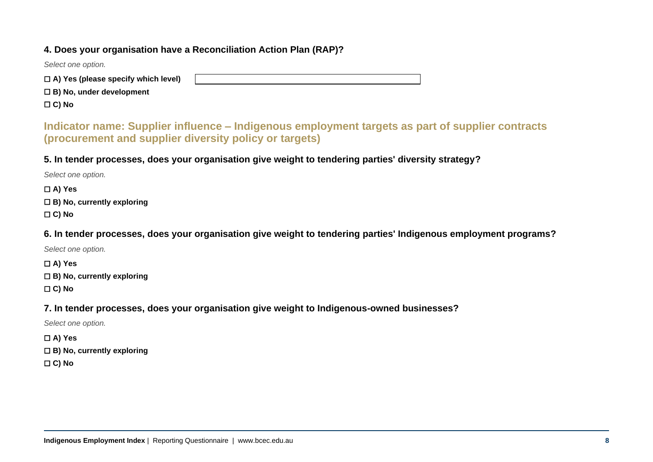#### **4. Does your organisation have a Reconciliation Action Plan (RAP)?**

*Select one option.*

☐ **A) Yes (please specify which level)**

☐ **B) No, under development**

☐ **C) No** 

**Indicator name: Supplier influence – Indigenous employment targets as part of supplier contracts (procurement and supplier diversity policy or targets)**

**5. In tender processes, does your organisation give weight to tendering parties' diversity strategy?**

*Select one option.*

☐ **A) Yes** ☐ **B) No, currently exploring** ☐ **C) No**

**6. In tender processes, does your organisation give weight to tendering parties' Indigenous employment programs?**

*Select one option.*

☐ **A) Yes** ☐ **B) No, currently exploring**

☐ **C) No**

**7. In tender processes, does your organisation give weight to Indigenous-owned businesses?**

*Select one option.*

☐ **A) Yes**

☐ **B) No, currently exploring**

☐ **C) No**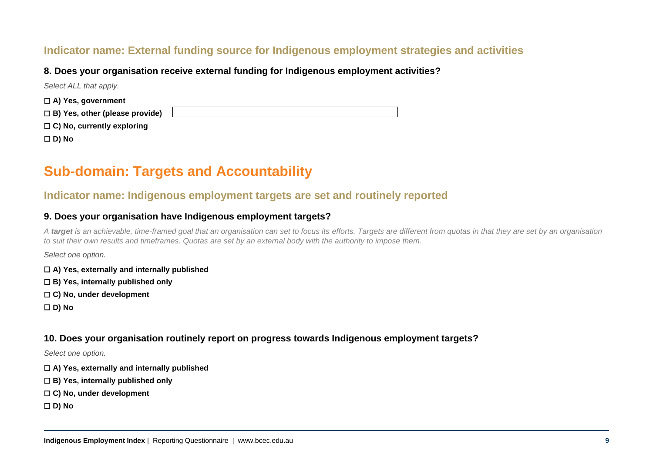# **Indicator name: External funding source for Indigenous employment strategies and activities**

#### **8. Does your organisation receive external funding for Indigenous employment activities?**

| Select ALL that apply.                |  |
|---------------------------------------|--|
| $\Box$ A) Yes, government             |  |
| $\Box$ B) Yes, other (please provide) |  |
| $\Box$ C) No, currently exploring     |  |
| $\Box$ D) No                          |  |

# **Sub-domain: Targets and Accountability**

#### **Indicator name: Indigenous employment targets are set and routinely reported**

#### **9. Does your organisation have Indigenous employment targets?**

A target is an achievable, time-framed goal that an organisation can set to focus its efforts. Targets are different from quotas in that they are set by an organisation *to suit their own results and timeframes. Quotas are set by an external body with the authority to impose them.*

*Select one option.*

- ☐ **A) Yes, externally and internally published**
- ☐ **B) Yes, internally published only**
- ☐ **C) No, under development**
- ☐ **D) No**

#### **10. Does your organisation routinely report on progress towards Indigenous employment targets?**

*Select one option.*

- ☐ **A) Yes, externally and internally published**
- ☐ **B) Yes, internally published only**
- ☐ **C) No, under development**
- ☐ **D) No**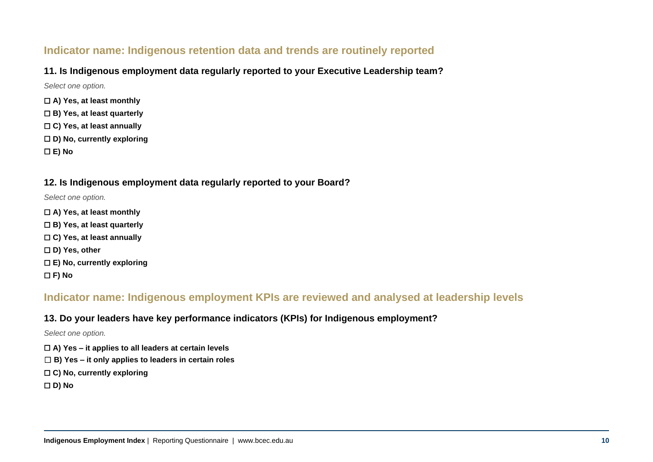# **Indicator name: Indigenous retention data and trends are routinely reported**

#### **11. Is Indigenous employment data regularly reported to your Executive Leadership team?**

*Select one option.*

- ☐ **A) Yes, at least monthly**
- ☐ **B) Yes, at least quarterly**
- ☐ **C) Yes, at least annually**
- ☐ **D) No, currently exploring**
- ☐ **E) No**

#### **12. Is Indigenous employment data regularly reported to your Board?**

*Select one option.*

- ☐ **A) Yes, at least monthly**
- ☐ **B) Yes, at least quarterly**
- ☐ **C) Yes, at least annually**
- ☐ **D) Yes, other**
- ☐ **E) No, currently exploring**
- ☐ **F) No**

### **Indicator name: Indigenous employment KPIs are reviewed and analysed at leadership levels**

#### **13. Do your leaders have key performance indicators (KPIs) for Indigenous employment?**

*Select one option.*

- ☐ **A) Yes – it applies to all leaders at certain levels**
- ☐ **B) Yes – it only applies to leaders in certain roles**
- ☐ **C) No, currently exploring**
- ☐ **D) No**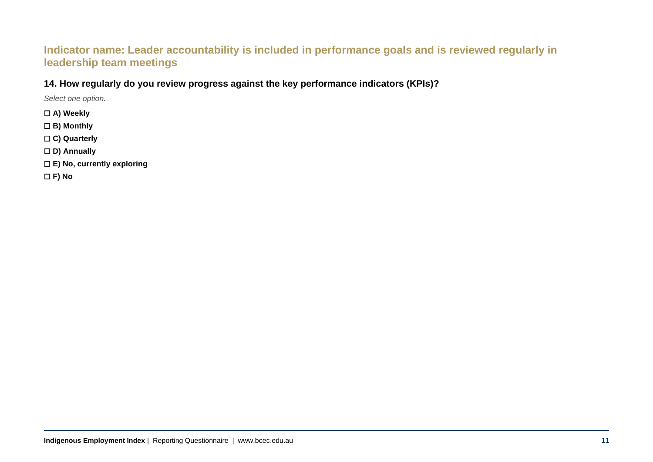# **Indicator name: Leader accountability is included in performance goals and is reviewed regularly in leadership team meetings**

#### **14. How regularly do you review progress against the key performance indicators (KPIs)?**

*Select one option.*

- ☐ **A) Weekly**
- ☐ **B) Monthly**
- ☐ **C) Quarterly**
- ☐ **D) Annually**
- ☐ **E) No, currently exploring**

☐ **F) No**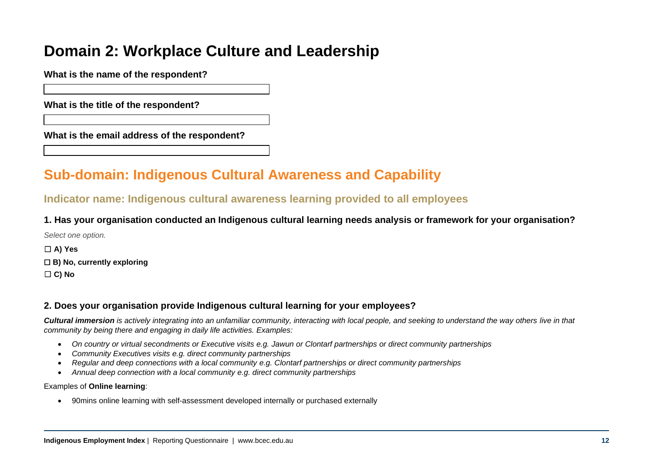# **Domain 2: Workplace Culture and Leadership**

**What is the name of the respondent?** 

**What is the title of the respondent?** 

**What is the email address of the respondent?** 

# **Sub-domain: Indigenous Cultural Awareness and Capability**

# **Indicator name: Indigenous cultural awareness learning provided to all employees**

**1. Has your organisation conducted an Indigenous cultural learning needs analysis or framework for your organisation?**

*Select one option.*

☐ **A) Yes** ☐ **B) No, currently exploring** ☐ **C) No**

#### **2. Does your organisation provide Indigenous cultural learning for your employees?**

*Cultural immersion is actively integrating into an unfamiliar community, interacting with local people, and seeking to understand the way others live in that community by being there and engaging in daily life activities. Examples:*

- *On country or virtual secondments or Executive visits e.g. [Jawun](https://protect-au.mimecast.com/s/bd23C91ZnlFkr7E1C3TeF4?domain=jawun.org.au/) or [Clontarf partnerships](https://protect-au.mimecast.com/s/DsmwC0YZ41fGYPw8CWLHsI?domain=clontarf.org.au/) or direct community partnerships*
- *Community Executives visits e.g. direct community partnerships*
- *Regular and deep connections with a local community e.g. [Clontarf partnerships](https://protect-au.mimecast.com/s/DsmwC0YZ41fGYPw8CWLHsI?domain=clontarf.org.au/) or direct community partnerships*
- *Annual deep connection with a local community e.g. direct community partnerships*

#### Examples of **Online learning**:

• 90mins online learning with self-assessment developed internally or purchased externally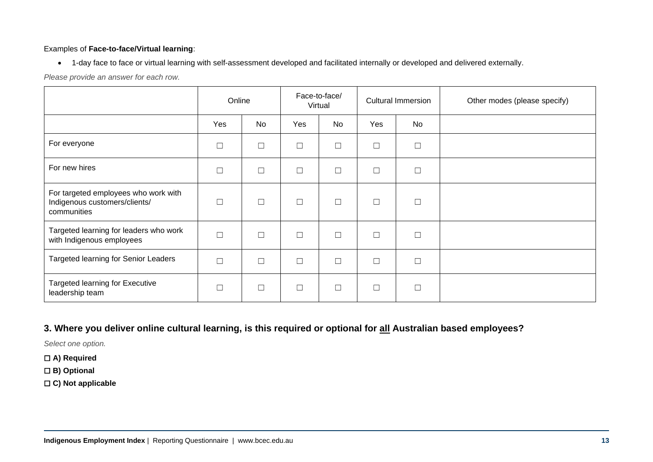#### Examples of **Face-to-face/Virtual learning**:

• 1-day face to face or virtual learning with self-assessment developed and facilitated internally or developed and delivered externally.

*Please provide an answer for each row.*

|                                                                                      | Online |           |        | Face-to-face/<br>Virtual |        | <b>Cultural Immersion</b> | Other modes (please specify) |
|--------------------------------------------------------------------------------------|--------|-----------|--------|--------------------------|--------|---------------------------|------------------------------|
|                                                                                      | Yes    | <b>No</b> | Yes    | No                       | Yes    | No                        |                              |
| For everyone                                                                         | П      | $\Box$    | $\Box$ | $\Box$                   | Г      | $\Box$                    |                              |
| For new hires                                                                        | $\Box$ | $\Box$    | $\Box$ | $\Box$                   | ⊑      | $\Box$                    |                              |
| For targeted employees who work with<br>Indigenous customers/clients/<br>communities | □      | $\Box$    | $\Box$ | □                        | Г      | □                         |                              |
| Targeted learning for leaders who work<br>with Indigenous employees                  | П      | $\Box$    | $\Box$ | $\Box$                   | $\Box$ | $\Box$                    |                              |
| Targeted learning for Senior Leaders                                                 | П      | $\Box$    | $\Box$ | $\Box$                   | Г      | $\Box$                    |                              |
| <b>Targeted learning for Executive</b><br>leadership team                            | П      | $\Box$    | $\Box$ | П                        | $\Box$ | $\Box$                    |                              |

**3. Where you deliver online cultural learning, is this required or optional for all Australian based employees?**

*Select one option.*

- ☐ **A) Required**
- ☐ **B) Optional**
- ☐ **C) Not applicable**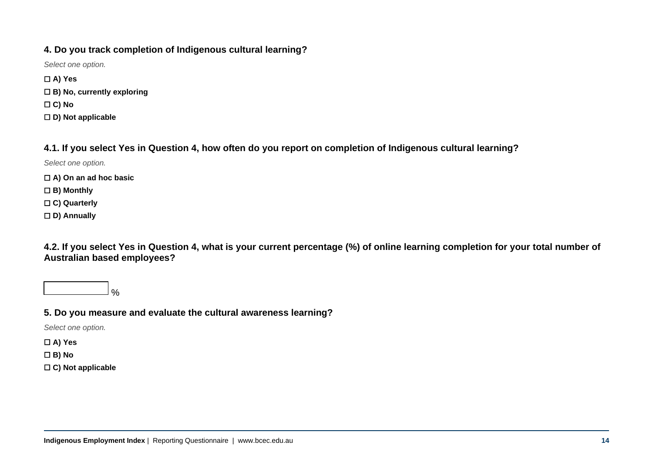#### **4. Do you track completion of Indigenous cultural learning?**

*Select one option.*

☐ **A) Yes** ☐ **B) No, currently exploring** ☐ **C) No** ☐ **D) Not applicable**

#### **4.1. If you select Yes in Question 4, how often do you report on completion of Indigenous cultural learning?**

*Select one option.*

- ☐ **A) On an ad hoc basic**
- ☐ **B) Monthly**
- ☐ **C) Quarterly**
- ☐ **D) Annually**

**4.2. If you select Yes in Question 4, what is your current percentage (%) of online learning completion for your total number of Australian based employees?**



### **5. Do you measure and evaluate the cultural awareness learning?**

*Select one option.*

☐ **A) Yes**

☐ **B) No**

☐ **C) Not applicable**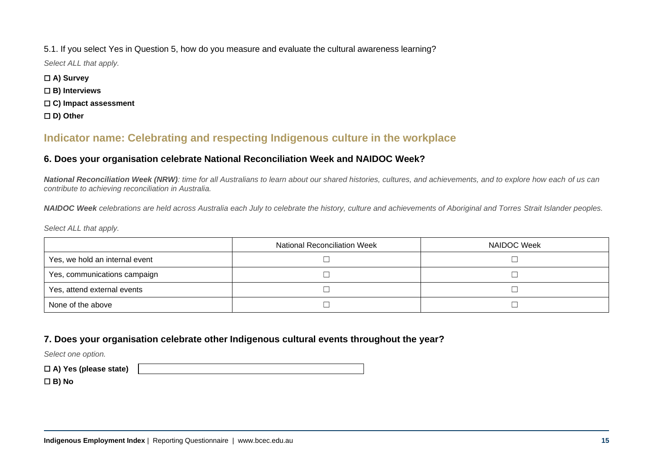#### 5.1. If you select Yes in Question 5, how do you measure and evaluate the cultural awareness learning?

*Select ALL that apply.*

- ☐ **A) Survey**
- ☐ **B) Interviews**
- ☐ **C) Impact assessment**
- ☐ **D) Other**

# **Indicator name: Celebrating and respecting Indigenous culture in the workplace**

#### **6. Does your organisation celebrate National Reconciliation Week and NAIDOC Week?**

*National Reconciliation Week (NRW): time for all Australians to learn about our shared histories, cultures, and achievements, and to explore how each of us can contribute to achieving reconciliation in Australia.*

*NAIDOC Week celebrations are held across Australia each July to celebrate the history, culture and achievements of Aboriginal and Torres Strait Islander peoples.*

*Select ALL that apply.*

|                                | <b>National Reconciliation Week</b> | NAIDOC Week |
|--------------------------------|-------------------------------------|-------------|
| Yes, we hold an internal event |                                     |             |
| Yes, communications campaign   |                                     |             |
| Yes, attend external events    |                                     |             |
| None of the above              |                                     |             |

### **7. Does your organisation celebrate other Indigenous cultural events throughout the year?**

*Select one option.*

☐ **A) Yes (please state)**

☐ **B) No**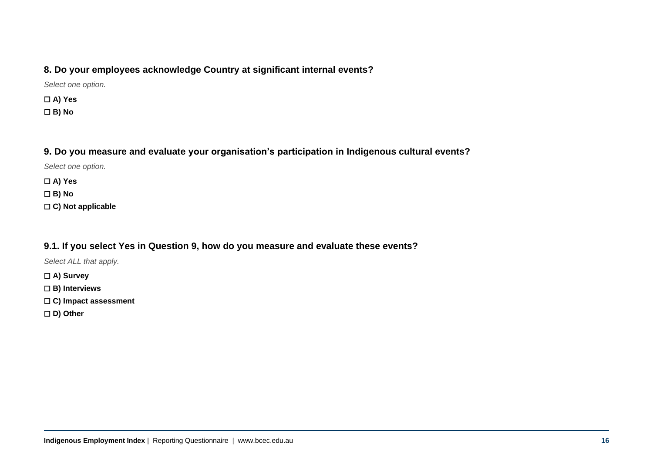#### **8. Do your employees acknowledge Country at significant internal events?**

*Select one option.*

☐ **A) Yes** ☐ **B) No**

#### **9. Do you measure and evaluate your organisation's participation in Indigenous cultural events?**

*Select one option.*

☐ **A) Yes**

☐ **B) No**

☐ **C) Not applicable**

### **9.1. If you select Yes in Question 9, how do you measure and evaluate these events?**

*Select ALL that apply.*

☐ **A) Survey**

☐ **B) Interviews**

☐ **C) Impact assessment**

☐ **D) Other**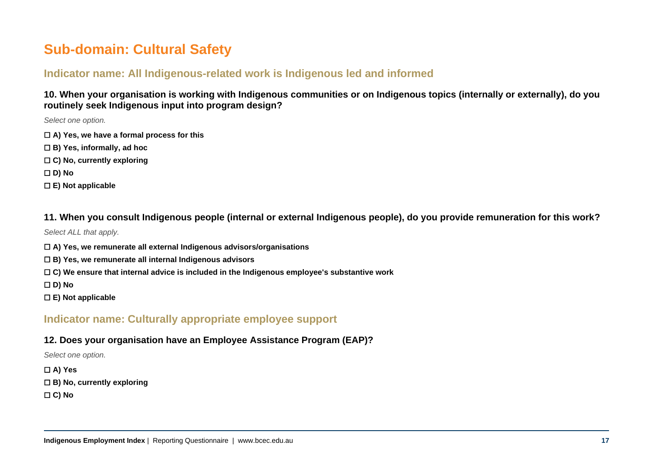# **Sub-domain: Cultural Safety**

# **Indicator name: All Indigenous-related work is Indigenous led and informed**

**10. When your organisation is working with Indigenous communities or on Indigenous topics (internally or externally), do you routinely seek Indigenous input into program design?**

*Select one option.*

- ☐ **A) Yes, we have a formal process for this**
- ☐ **B) Yes, informally, ad hoc**
- ☐ **C) No, currently exploring**

☐ **D) No**

☐ **E) Not applicable**

**11. When you consult Indigenous people (internal or external Indigenous people), do you provide remuneration for this work?**

*Select ALL that apply.*

- ☐ **A) Yes, we remunerate all external Indigenous advisors/organisations**
- ☐ **B) Yes, we remunerate all internal Indigenous advisors**
- ☐ **C) We ensure that internal advice is included in the Indigenous employee's substantive work**

☐ **D) No**

☐ **E) Not applicable**

# **Indicator name: Culturally appropriate employee support**

#### **12. Does your organisation have an Employee Assistance Program (EAP)?**

*Select one option.*

☐ **A) Yes**

☐ **B) No, currently exploring** 

☐ **C) No**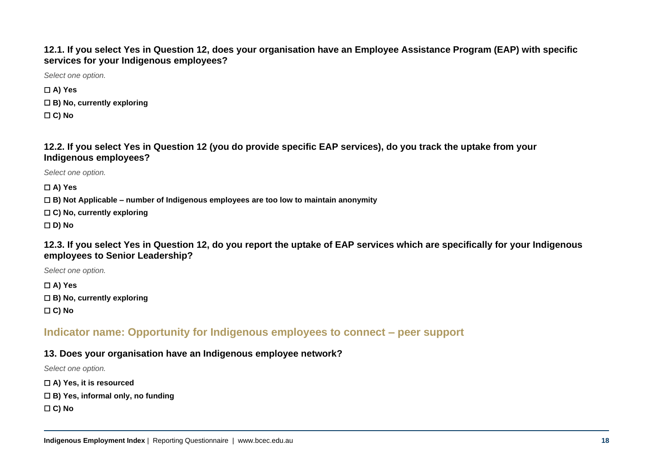**12.1. If you select Yes in Question 12, does your organisation have an Employee Assistance Program (EAP) with specific services for your Indigenous employees?**

*Select one option.*

☐ **A) Yes** ☐ **B) No, currently exploring**  ☐ **C) No**

**12.2. If you select Yes in Question 12 (you do provide specific EAP services), do you track the uptake from your Indigenous employees?**

*Select one option.*

☐ **A) Yes**

☐ **B) Not Applicable – number of Indigenous employees are too low to maintain anonymity**

☐ **C) No, currently exploring**

☐ **D) No**

**12.3. If you select Yes in Question 12, do you report the uptake of EAP services which are specifically for your Indigenous employees to Senior Leadership?**

*Select one option.*

☐ **A) Yes** ☐ **B) No, currently exploring** ☐ **C) No**

**Indicator name: Opportunity for Indigenous employees to connect – peer support**

#### **13. Does your organisation have an Indigenous employee network?**

*Select one option.*

☐ **A) Yes, it is resourced**

☐ **B) Yes, informal only, no funding**

☐ **C) No**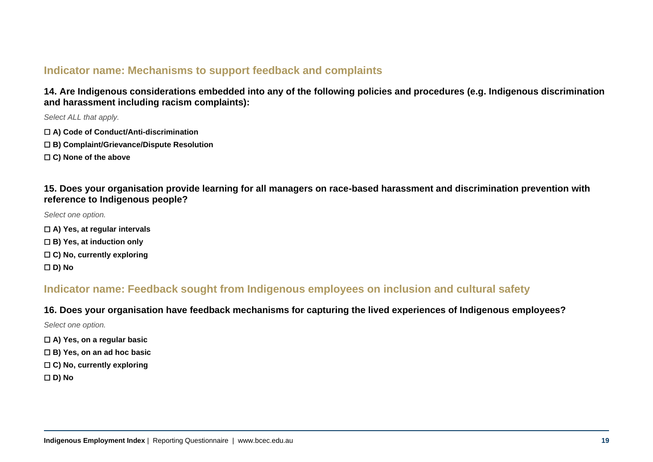# **Indicator name: Mechanisms to support feedback and complaints**

**14. Are Indigenous considerations embedded into any of the following policies and procedures (e.g. Indigenous discrimination and harassment including racism complaints):**

*Select ALL that apply.*

- ☐ **A) Code of Conduct/Anti-discrimination**
- ☐ **B) Complaint/Grievance/Dispute Resolution**
- ☐ **C) None of the above**

**15. Does your organisation provide learning for all managers on race-based harassment and discrimination prevention with reference to Indigenous people?**

*Select one option.*

- ☐ **A) Yes, at regular intervals**
- ☐ **B) Yes, at induction only**
- ☐ **C) No, currently exploring**
- ☐ **D) No**

# **Indicator name: Feedback sought from Indigenous employees on inclusion and cultural safety**

#### **16. Does your organisation have feedback mechanisms for capturing the lived experiences of Indigenous employees?**

*Select one option.*

- ☐ **A) Yes, on a regular basic**
- ☐ **B) Yes, on an ad hoc basic**
- ☐ **C) No, currently exploring**
- ☐ **D) No**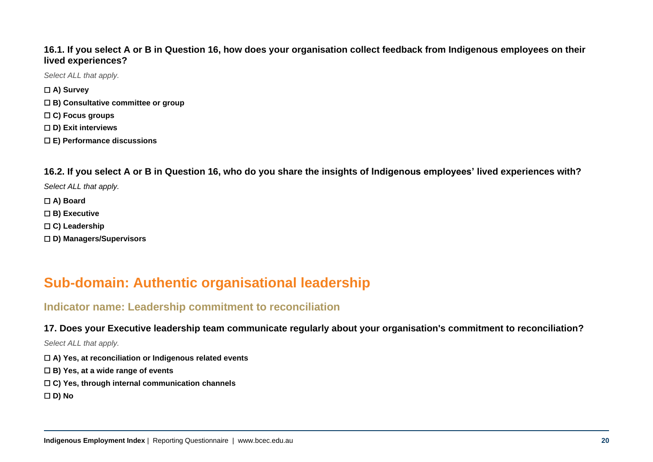#### **16.1. If you select A or B in Question 16, how does your organisation collect feedback from Indigenous employees on their lived experiences?**

*Select ALL that apply.*

- ☐ **A) Survey**
- ☐ **B) Consultative committee or group**
- ☐ **C) Focus groups**
- ☐ **D) Exit interviews**
- ☐ **E) Performance discussions**

**16.2. If you select A or B in Question 16, who do you share the insights of Indigenous employees' lived experiences with?**

*Select ALL that apply.*

- ☐ **A) Board**
- ☐ **B) Executive**
- ☐ **C) Leadership**
- ☐ **D) Managers/Supervisors**

# **Sub-domain: Authentic organisational leadership**

# **Indicator name: Leadership commitment to reconciliation**

#### **17. Does your Executive leadership team communicate regularly about your organisation's commitment to reconciliation?**

- ☐ **A) Yes, at reconciliation or Indigenous related events**
- ☐ **B) Yes, at a wide range of events**
- ☐ **C) Yes, through internal communication channels**
- ☐ **D) No**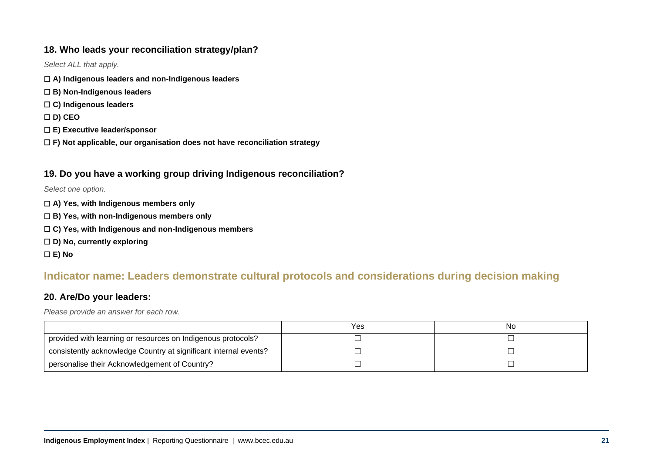#### **18. Who leads your reconciliation strategy/plan?**

*Select ALL that apply.*

- ☐ **A) Indigenous leaders and non-Indigenous leaders**
- ☐ **B) Non-Indigenous leaders**
- ☐ **C) Indigenous leaders**
- ☐ **D) CEO**
- ☐ **E) Executive leader/sponsor**
- ☐ **F) Not applicable, our organisation does not have reconciliation strategy**

#### **19. Do you have a working group driving Indigenous reconciliation?**

*Select one option.*

- ☐ **A) Yes, with Indigenous members only**
- ☐ **B) Yes, with non-Indigenous members only**
- ☐ **C) Yes, with Indigenous and non-Indigenous members**
- ☐ **D) No, currently exploring**

☐ **E) No**

# **Indicator name: Leaders demonstrate cultural protocols and considerations during decision making**

#### **20. Are/Do your leaders:**

*Please provide an answer for each row.*

|                                                                  | Yes. | <b>N</b> |
|------------------------------------------------------------------|------|----------|
| provided with learning or resources on Indigenous protocols?     |      |          |
| consistently acknowledge Country at significant internal events? |      |          |
| personalise their Acknowledgement of Country?                    |      |          |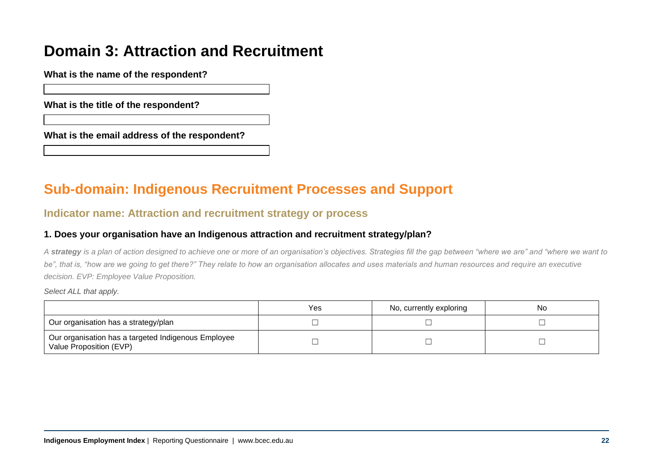# **Domain 3: Attraction and Recruitment**

**What is the name of the respondent?** 

**What is the title of the respondent?** 

**What is the email address of the respondent?** 

# **Sub-domain: Indigenous Recruitment Processes and Support**

# **Indicator name: Attraction and recruitment strategy or process**

#### **1. Does your organisation have an Indigenous attraction and recruitment strategy/plan?**

*A strategy is a plan of action designed to achieve one or more of an organisation's objectives. Strategies fill the gap between "where we are" and "where we want to*  be", that is, "how are we going to get there?" They relate to how an organisation allocates and uses materials and human resources and require an executive *decision. EVP: Employee Value Proposition.*

|                                                                                | Yes | No, currently exploring | Nc |
|--------------------------------------------------------------------------------|-----|-------------------------|----|
| Our organisation has a strategy/plan                                           |     |                         |    |
| Our organisation has a targeted Indigenous Employee<br>Value Proposition (EVP) |     |                         |    |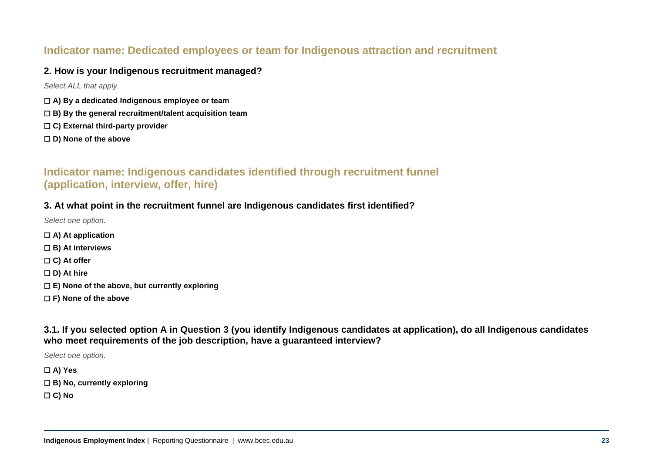# **Indicator name: Dedicated employees or team for Indigenous attraction and recruitment**

#### **2. How is your Indigenous recruitment managed?**

*Select ALL that apply.*

- ☐ **A) By a dedicated Indigenous employee or team**
- ☐ **B) By the general recruitment/talent acquisition team**
- ☐ **C) External third-party provider**
- ☐ **D) None of the above**

# **Indicator name: Indigenous candidates identified through recruitment funnel (application, interview, offer, hire)**

#### **3. At what point in the recruitment funnel are Indigenous candidates first identified?**

*Select one option.*

- ☐ **A) At application**
- ☐ **B) At interviews**
- ☐ **C) At offer**
- ☐ **D) At hire**
- ☐ **E) None of the above, but currently exploring**
- ☐ **F) None of the above**

**3.1. If you selected option A in Question 3 (you identify Indigenous candidates at application), do all Indigenous candidates who meet requirements of the job description, have a guaranteed interview?**

*Select one option.*

☐ **A) Yes**

- ☐ **B) No, currently exploring**
- ☐ **C) No**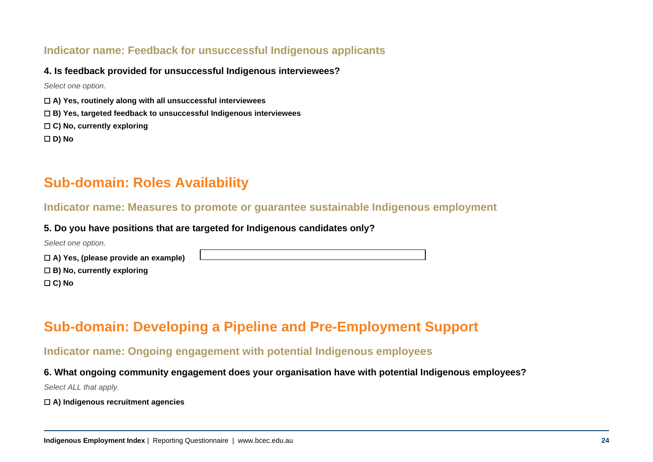# **Indicator name: Feedback for unsuccessful Indigenous applicants**

#### **4. Is feedback provided for unsuccessful Indigenous interviewees?**

*Select one option.*

- ☐ **A) Yes, routinely along with all unsuccessful interviewees**
- ☐ **B) Yes, targeted feedback to unsuccessful Indigenous interviewees**
- ☐ **C) No, currently exploring**

☐ **D) No** 

# **Sub-domain: Roles Availability**

### **Indicator name: Measures to promote or guarantee sustainable Indigenous employment**

#### **5. Do you have positions that are targeted for Indigenous candidates only?**

*Select one option.* ☐ **A) Yes, (please provide an example)**  ☐ **B) No, currently exploring** ☐ **C) No**

# **Sub-domain: Developing a Pipeline and Pre-Employment Support**

# **Indicator name: Ongoing engagement with potential Indigenous employees**

**6. What ongoing community engagement does your organisation have with potential Indigenous employees?**

*Select ALL that apply.*

☐ **A) Indigenous recruitment agencies**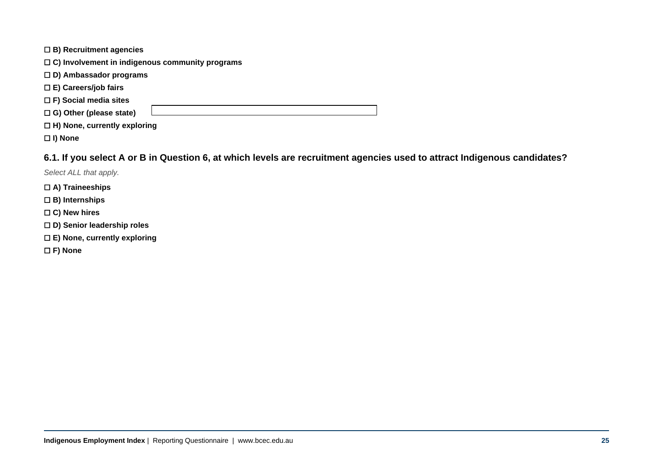| $\Box$ B) Recruitment agencies                         |  |  |  |  |
|--------------------------------------------------------|--|--|--|--|
| $\Box$ C) Involvement in indigenous community programs |  |  |  |  |
| $\Box$ D) Ambassador programs                          |  |  |  |  |
| $\Box$ E) Careers/job fairs                            |  |  |  |  |
| $\Box$ F) Social media sites                           |  |  |  |  |
| $\Box$ G) Other (please state)                         |  |  |  |  |
| $\Box$ H) None, currently exploring                    |  |  |  |  |

☐ **I) None**

#### **6.1. If you select A or B in Question 6, at which levels are recruitment agencies used to attract Indigenous candidates?**

- ☐ **A) Traineeships**
- ☐ **B) Internships**
- ☐ **C) New hires**
- ☐ **D) Senior leadership roles**
- ☐ **E) None, currently exploring**
- ☐ **F) None**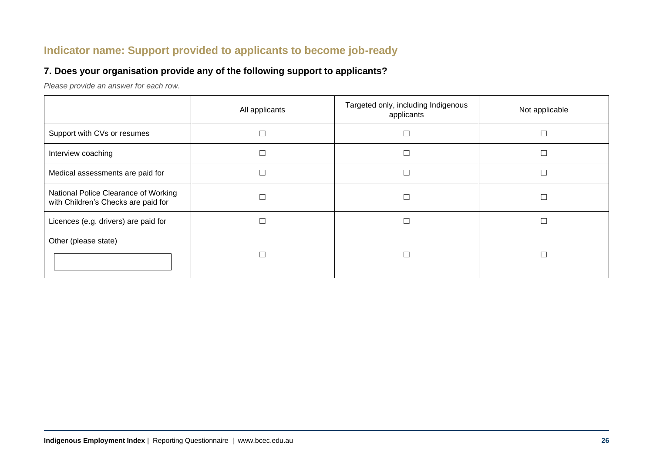# **Indicator name: Support provided to applicants to become job-ready**

#### **7. Does your organisation provide any of the following support to applicants?**

*Please provide an answer for each row.*

|                                                                             | All applicants | Targeted only, including Indigenous<br>applicants | Not applicable |
|-----------------------------------------------------------------------------|----------------|---------------------------------------------------|----------------|
| Support with CVs or resumes                                                 |                |                                                   |                |
| Interview coaching                                                          |                |                                                   |                |
| Medical assessments are paid for                                            |                |                                                   |                |
| National Police Clearance of Working<br>with Children's Checks are paid for |                |                                                   |                |
| Licences (e.g. drivers) are paid for                                        |                |                                                   |                |
| Other (please state)                                                        |                |                                                   |                |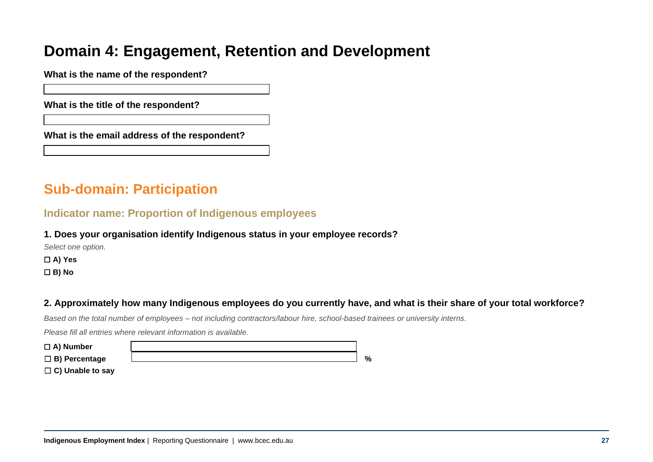# **Domain 4: Engagement, Retention and Development**

**What is the name of the respondent?** 

**What is the title of the respondent?** 

**What is the email address of the respondent?** 

# **Sub-domain: Participation**

### **Indicator name: Proportion of Indigenous employees**

#### **1. Does your organisation identify Indigenous status in your employee records?**

*Select one option.*

☐ **A) Yes**

☐ **B) No**

### **2. Approximately how many Indigenous employees do you currently have, and what is their share of your total workforce?**

*Based on the total number of employees – not including contractors/labour hire, school-based trainees or university interns.*

*Please fill all entries where relevant information is available.*

| $\Box$ A) Number        |               |
|-------------------------|---------------|
| $\Box$ B) Percentage    | $\frac{0}{0}$ |
| $\Box$ C) Unable to say |               |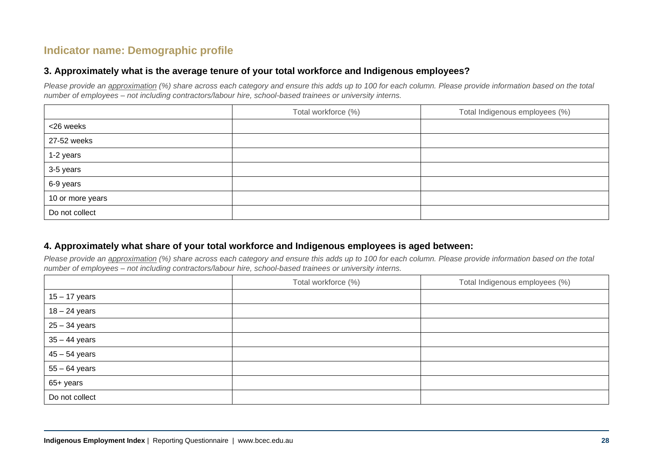# **Indicator name: Demographic profile**

#### **3. Approximately what is the average tenure of your total workforce and Indigenous employees?**

*Please provide an approximation (%) share across each category and ensure this adds up to 100 for each column. Please provide information based on the total number of employees – not including contractors/labour hire, school-based trainees or university interns.*

|                  | Total workforce (%) | Total Indigenous employees (%) |
|------------------|---------------------|--------------------------------|
| <26 weeks        |                     |                                |
| 27-52 weeks      |                     |                                |
| 1-2 years        |                     |                                |
| 3-5 years        |                     |                                |
| 6-9 years        |                     |                                |
| 10 or more years |                     |                                |
| Do not collect   |                     |                                |

#### **4. Approximately what share of your total workforce and Indigenous employees is aged between:**

*Please provide an approximation (%) share across each category and ensure this adds up to 100 for each column. Please provide information based on the total number of employees – not including contractors/labour hire, school-based trainees or university interns.*

|                 | Total workforce (%) | Total Indigenous employees (%) |
|-----------------|---------------------|--------------------------------|
| $15 - 17$ years |                     |                                |
| $18 - 24$ years |                     |                                |
| $25 - 34$ years |                     |                                |
| $35 - 44$ years |                     |                                |
| $45 - 54$ years |                     |                                |
| $55 - 64$ years |                     |                                |
| 65+ years       |                     |                                |
| Do not collect  |                     |                                |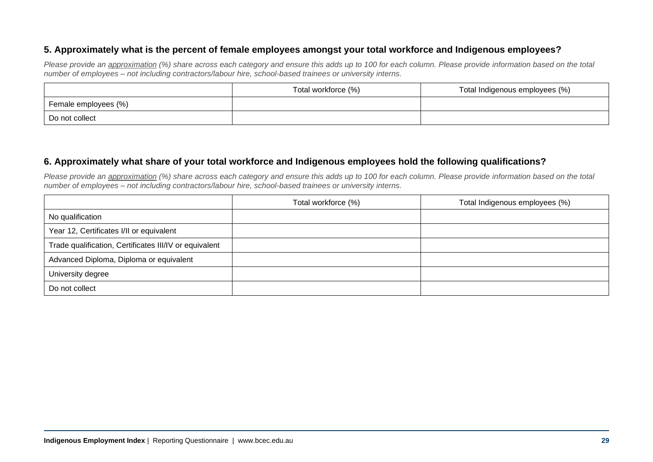#### **5. Approximately what is the percent of female employees amongst your total workforce and Indigenous employees?**

*Please provide an approximation* (%) share across each category and ensure this adds up to 100 for each column. Please provide information based on the total *number of employees – not including contractors/labour hire, school-based trainees or university interns.*

|                      | Total workforce (%) | Total Indigenous employees (%) |
|----------------------|---------------------|--------------------------------|
| Female employees (%) |                     |                                |
| Do not collect       |                     |                                |

#### **6. Approximately what share of your total workforce and Indigenous employees hold the following qualifications?**

*Please provide an approximation* (%) share across each category and ensure this adds up to 100 for each column. Please provide information based on the total *number of employees – not including contractors/labour hire, school-based trainees or university interns.*

|                                                        | Total workforce (%) | Total Indigenous employees (%) |
|--------------------------------------------------------|---------------------|--------------------------------|
| No qualification                                       |                     |                                |
| Year 12, Certificates I/II or equivalent               |                     |                                |
| Trade qualification, Certificates III/IV or equivalent |                     |                                |
| Advanced Diploma, Diploma or equivalent                |                     |                                |
| University degree                                      |                     |                                |
| Do not collect                                         |                     |                                |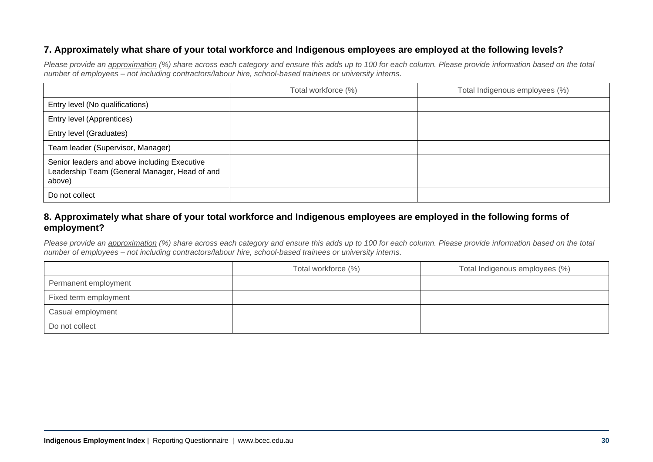#### **7. Approximately what share of your total workforce and Indigenous employees are employed at the following levels?**

*Please provide an approximation* (%) share across each category and ensure this adds up to 100 for each column. Please provide information based on the total *number of employees – not including contractors/labour hire, school-based trainees or university interns.*

|                                                                                                         | Total workforce (%) | Total Indigenous employees (%) |
|---------------------------------------------------------------------------------------------------------|---------------------|--------------------------------|
| Entry level (No qualifications)                                                                         |                     |                                |
| Entry level (Apprentices)                                                                               |                     |                                |
| Entry level (Graduates)                                                                                 |                     |                                |
| Team leader (Supervisor, Manager)                                                                       |                     |                                |
| Senior leaders and above including Executive<br>Leadership Team (General Manager, Head of and<br>above) |                     |                                |
| Do not collect                                                                                          |                     |                                |

#### **8. Approximately what share of your total workforce and Indigenous employees are employed in the following forms of employment?**

*Please provide an approximation* (%) share across each category and ensure this adds up to 100 for each column. Please provide information based on the total *number of employees – not including contractors/labour hire, school-based trainees or university interns.*

|                       | Total workforce (%) | Total Indigenous employees (%) |
|-----------------------|---------------------|--------------------------------|
| Permanent employment  |                     |                                |
| Fixed term employment |                     |                                |
| Casual employment     |                     |                                |
| Do not collect        |                     |                                |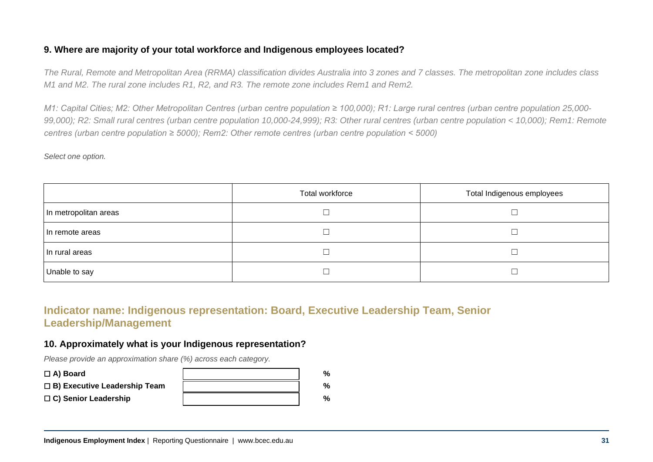#### **9. Where are majority of your total workforce and Indigenous employees located?**

*The Rural, Remote and Metropolitan Area (RRMA) classification divides Australia into 3 zones and 7 classes. The metropolitan zone includes class M1 and M2. The rural zone includes R1, R2, and R3. The remote zone includes Rem1 and Rem2.*

*M1: Capital Cities; M2: Other Metropolitan Centres (urban centre population ≥ 100,000); R1: Large rural centres (urban centre population 25,000-99,000); R2: Small rural centres (urban centre population 10,000-24,999); R3: Other rural centres (urban centre population < 10,000); Rem1: Remote centres (urban centre population ≥ 5000); Rem2: Other remote centres (urban centre population < 5000)*

*Select one option.*

|                       | Total workforce | Total Indigenous employees |
|-----------------------|-----------------|----------------------------|
| In metropolitan areas |                 |                            |
| In remote areas       |                 |                            |
| In rural areas        |                 |                            |
| Unable to say         |                 |                            |

# **Indicator name: Indigenous representation: Board, Executive Leadership Team, Senior Leadership/Management**

#### **10. Approximately what is your Indigenous representation?**

*Please provide an approximation share (%) across each category.*

| $\Box$ A) Board                     | % |
|-------------------------------------|---|
| $\Box$ B) Executive Leadership Team | % |
| $\Box$ C) Senior Leadership         | % |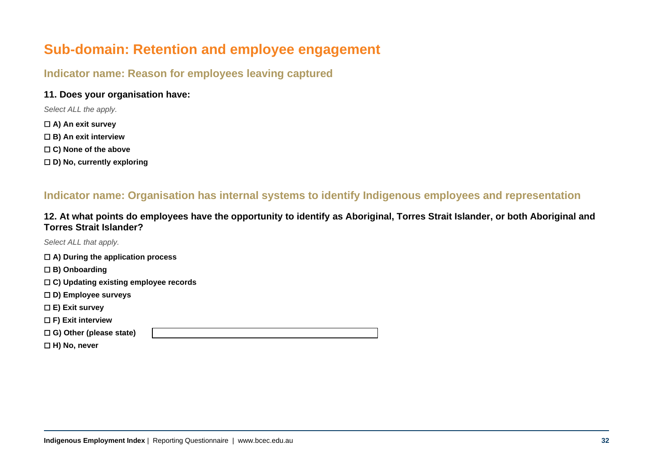# **Sub-domain: Retention and employee engagement**

# **Indicator name: Reason for employees leaving captured**

#### **11. Does your organisation have:**

*Select ALL the apply.*

- ☐ **A) An exit survey**
- ☐ **B) An exit interview**
- ☐ **C) None of the above**
- ☐ **D) No, currently exploring**

# **Indicator name: Organisation has internal systems to identify Indigenous employees and representation**

**12. At what points do employees have the opportunity to identify as Aboriginal, Torres Strait Islander, or both Aboriginal and Torres Strait Islander?** 

*Select ALL that apply.*

☐ **A) During the application process**

- ☐ **B) Onboarding**
- ☐ **C) Updating existing employee records**
- ☐ **D) Employee surveys**
- ☐ **E) Exit survey**
- ☐ **F) Exit interview**

☐ **G) Other (please state)**

☐ **H) No, never**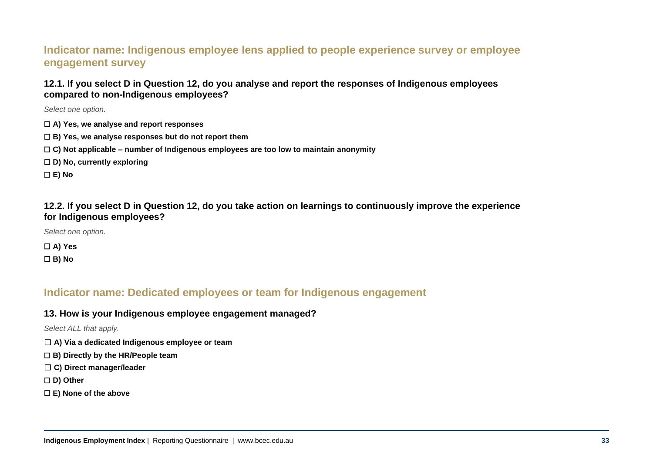# **Indicator name: Indigenous employee lens applied to people experience survey or employee engagement survey**

#### **12.1. If you select D in Question 12, do you analyse and report the responses of Indigenous employees compared to non-Indigenous employees?**

*Select one option.*

- ☐ **A) Yes, we analyse and report responses**
- ☐ **B) Yes, we analyse responses but do not report them**
- ☐ **C) Not applicable – number of Indigenous employees are too low to maintain anonymity**
- ☐ **D) No, currently exploring**

☐ **E) No**

#### **12.2. If you select D in Question 12, do you take action on learnings to continuously improve the experience for Indigenous employees?**

*Select one option.*

☐ **A) Yes** ☐ **B) No**

# **Indicator name: Dedicated employees or team for Indigenous engagement**

#### **13. How is your Indigenous employee engagement managed?**

- ☐ **A) Via a dedicated Indigenous employee or team**
- ☐ **B) Directly by the HR/People team**
- ☐ **C) Direct manager/leader**
- ☐ **D) Other**
- ☐ **E) None of the above**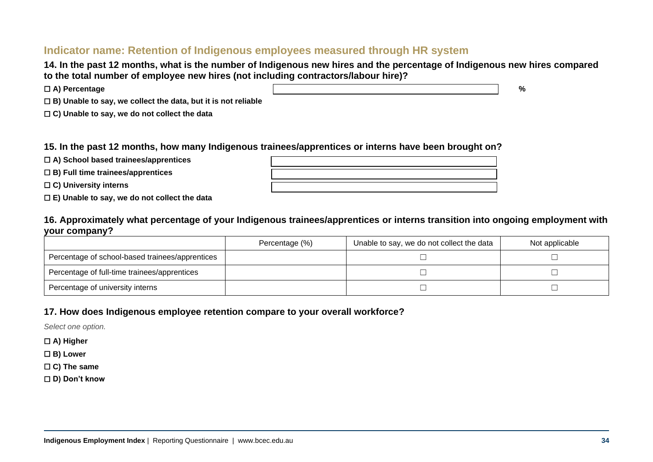### **Indicator name: Retention of Indigenous employees measured through HR system**

**14. In the past 12 months, what is the number of Indigenous new hires and the percentage of Indigenous new hires compared to the total number of employee new hires (not including contractors/labour hire)?**

| $\Box$ A) Percentage                                                 | $\mathbf{0}$ |
|----------------------------------------------------------------------|--------------|
| $\Box$ B) Unable to say, we collect the data, but it is not reliable |              |

☐ **C) Unable to say, we do not collect the data**

#### **15. In the past 12 months, how many Indigenous trainees/apprentices or interns have been brought on?**

☐ **A) School based trainees/apprentices** 

☐ **B) Full time trainees/apprentices** 

☐ **C) University interns** 

☐ **E) Unable to say, we do not collect the data**

#### **16. Approximately what percentage of your Indigenous trainees/apprentices or interns transition into ongoing employment with your company?**

|                                                 | Percentage (%) | Unable to say, we do not collect the data | Not applicable |
|-------------------------------------------------|----------------|-------------------------------------------|----------------|
| Percentage of school-based trainees/apprentices |                |                                           |                |
| Percentage of full-time trainees/apprentices    |                |                                           |                |
| Percentage of university interns                |                |                                           |                |

#### **17. How does Indigenous employee retention compare to your overall workforce?**

*Select one option.*

☐ **A) Higher**

☐ **B) Lower**

☐ **C) The same**

☐ **D) Don't know**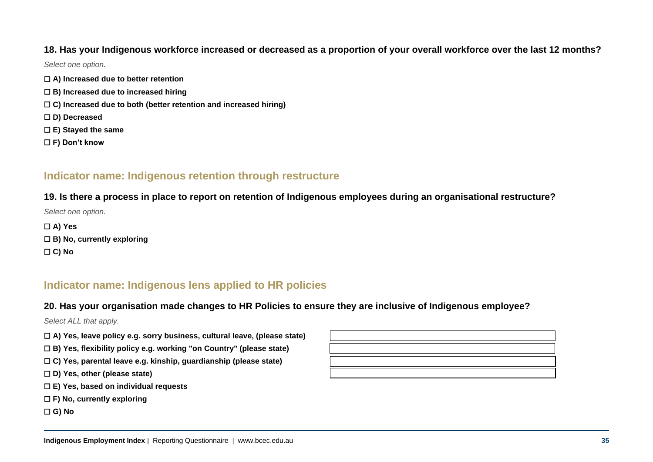#### **18. Has your Indigenous workforce increased or decreased as a proportion of your overall workforce over the last 12 months?**

*Select one option.*

- ☐ **A) Increased due to better retention**
- ☐ **B) Increased due to increased hiring**
- ☐ **C) Increased due to both (better retention and increased hiring)**
- ☐ **D) Decreased**
- ☐ **E) Stayed the same**
- ☐ **F) Don't know**

# **Indicator name: Indigenous retention through restructure**

#### **19. Is there a process in place to report on retention of Indigenous employees during an organisational restructure?**

*Select one option.*

☐ **A) Yes** ☐ **B) No, currently exploring** ☐ **C) No**

# **Indicator name: Indigenous lens applied to HR policies**

#### **20. Has your organisation made changes to HR Policies to ensure they are inclusive of Indigenous employee?**

- ☐ **A) Yes, leave policy e.g. sorry business, cultural leave, (please state)**
- ☐ **B) Yes, flexibility policy e.g. working "on Country" (please state)**
- ☐ **C) Yes, parental leave e.g. kinship, guardianship (please state)**
- ☐ **D) Yes, other (please state)**
- ☐ **E) Yes, based on individual requests**
- ☐ **F) No, currently exploring**
- ☐ **G) No**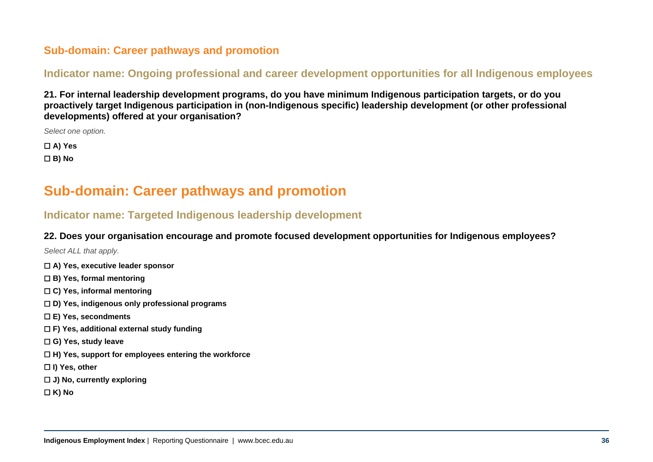# **Sub-domain: Career pathways and promotion**

# **Indicator name: Ongoing professional and career development opportunities for all Indigenous employees**

**21. For internal leadership development programs, do you have minimum Indigenous participation targets, or do you proactively target Indigenous participation in (non-Indigenous specific) leadership development (or other professional developments) offered at your organisation?**

*Select one option.*

☐ **A) Yes** ☐ **B) No**

# **Sub-domain: Career pathways and promotion**

# **Indicator name: Targeted Indigenous leadership development**

#### **22. Does your organisation encourage and promote focused development opportunities for Indigenous employees?**

- ☐ **A) Yes, executive leader sponsor**
- ☐ **B) Yes, formal mentoring**
- ☐ **C) Yes, informal mentoring**
- ☐ **D) Yes, indigenous only professional programs**
- ☐ **E) Yes, secondments**
- ☐ **F) Yes, additional external study funding**
- ☐ **G) Yes, study leave**
- ☐ **H) Yes, support for employees entering the workforce**
- ☐ **I) Yes, other**
- ☐ **J) No, currently exploring**
- ☐ **K) No**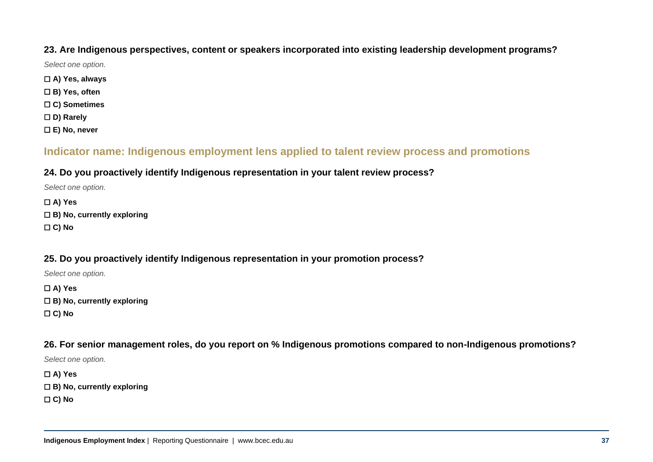#### **23. Are Indigenous perspectives, content or speakers incorporated into existing leadership development programs?**

*Select one option.*

- ☐ **A) Yes, always**
- ☐ **B) Yes, often**
- ☐ **C) Sometimes**
- ☐ **D) Rarely**
- ☐ **E) No, never**

# **Indicator name: Indigenous employment lens applied to talent review process and promotions**

#### **24. Do you proactively identify Indigenous representation in your talent review process?**

*Select one option.*

☐ **A) Yes**

☐ **B) No, currently exploring**

☐ **C) No**

### **25. Do you proactively identify Indigenous representation in your promotion process?**

*Select one option.*

☐ **A) Yes**

- ☐ **B) No, currently exploring**
- ☐ **C) No**

#### **26. For senior management roles, do you report on % Indigenous promotions compared to non-Indigenous promotions?**

*Select one option.*

☐ **A) Yes** ☐ **B) No, currently exploring** ☐ **C) No**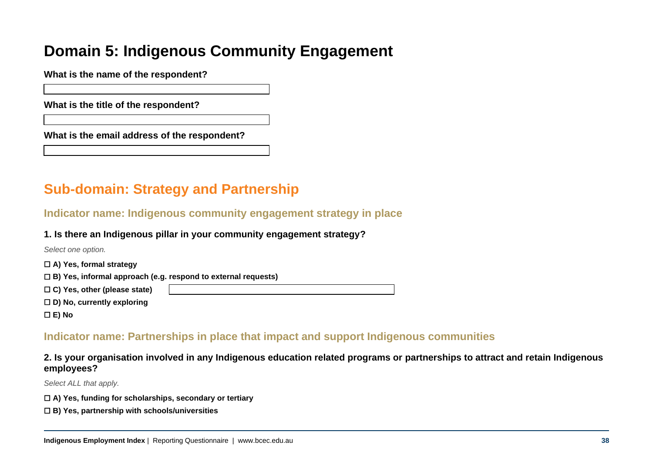# **Domain 5: Indigenous Community Engagement**

**What is the name of the respondent?** 

**What is the title of the respondent?** 

**What is the email address of the respondent?** 

# **Sub-domain: Strategy and Partnership**

**Indicator name: Indigenous community engagement strategy in place**

#### **1. Is there an Indigenous pillar in your community engagement strategy?**

*Select one option.*

- ☐ **A) Yes, formal strategy**
- ☐ **B) Yes, informal approach (e.g. respond to external requests)**
- ☐ **C) Yes, other (please state)**
- ☐ **D) No, currently exploring**
- ☐ **E) No**

# **Indicator name: Partnerships in place that impact and support Indigenous communities**

**2. Is your organisation involved in any Indigenous education related programs or partnerships to attract and retain Indigenous employees?**

- ☐ **A) Yes, funding for scholarships, secondary or tertiary**
- ☐ **B) Yes, partnership with schools/universities**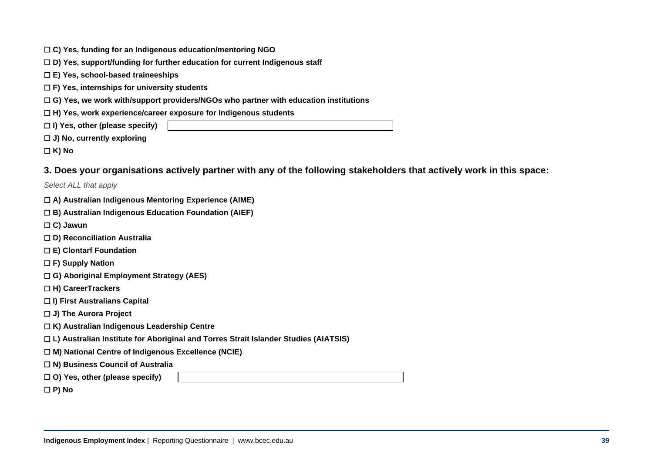| $\Box$ C) Yes, funding for an Indigenous education/mentoring NGO |
|------------------------------------------------------------------|
|------------------------------------------------------------------|

- ☐ **D) Yes, support/funding for further education for current Indigenous staff**
- ☐ **E) Yes, school-based traineeships**
- ☐ **F) Yes, internships for university students**
- ☐ **G) Yes, we work with/support providers/NGOs who partner with education institutions**
- ☐ **H) Yes, work experience/career exposure for Indigenous students**
- ☐ **I) Yes, other (please specify)**
- ☐ **J) No, currently exploring**
- ☐ **K) No**

#### **3. Does your organisations actively partner with any of the following stakeholders that actively work in this space:**

- ☐ **A) Australian Indigenous Mentoring Experience (AIME)**
- ☐ **B) Australian Indigenous Education Foundation (AIEF)**
- ☐ **C) Jawun**
- ☐ **D) Reconciliation Australia**
- ☐ **E) Clontarf Foundation**
- ☐ **F) Supply Nation**
- ☐ **G) Aboriginal Employment Strategy (AES)**
- ☐ **H) CareerTrackers**
- ☐ **I) First Australians Capital**
- ☐ **J) The Aurora Project**
- ☐ **K) Australian Indigenous Leadership Centre**
- ☐ **L) Australian Institute for Aboriginal and Torres Strait Islander Studies (AIATSIS)**
- ☐ **M) National Centre of Indigenous Excellence (NCIE)**
- ☐ **N) Business Council of Australia**
- ☐ **O) Yes, other (please specify)**
- ☐ **P) No**